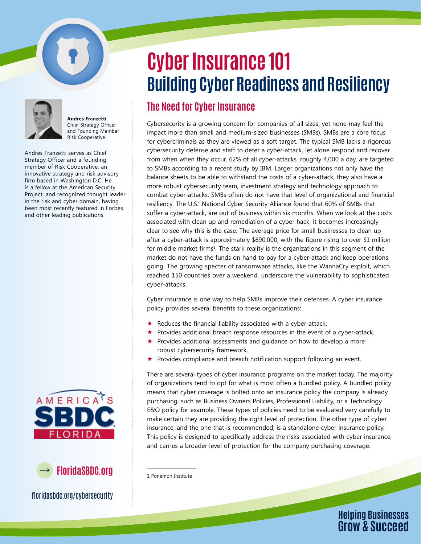

**Andres Franzetti** Chief Strategy Officer and Founding Member Risk Cooperative

Andres Franzetti serves as Chief Strategy Officer and a founding member of Risk Cooperative, an innovative strategy and risk advisory firm based in Washington D.C. He is a fellow at the American Security Project, and recognized thought leader in the risk and cyber domain, having been most recently featured in Forbes and other leading publications.



 **FloridaSBDC.org**

floridasbdc.org/cybersecurity

## **Cyber Insurance 101 Building Cyber Readiness and Resiliency**

## **The Need for Cyber Insurance**

Cybersecurity is a growing concern for companies of all sizes, yet none may feel the impact more than small and medium-sized businesses (SMBs). SMBs are a core focus for cybercriminals as they are viewed as a soft target. The typical SMB lacks a rigorous cybersecurity defense and staff to deter a cyber-attack, let alone respond and recover from when when they occur. 62% of all cyber-attacks, roughly 4,000 a day, are targeted to SMBs according to a recent study by IBM. Larger organizations not only have the balance sheets to be able to withstand the costs of a cyber-attack, they also have a more robust cybersecurity team, investment strategy and technology approach to combat cyber-attacks. SMBs often do not have that level of organizational and financial resiliency. The U.S.' National Cyber Security Alliance found that 60% of SMBs that suffer a cyber-attack, are out of business within six months. When we look at the costs associated with clean up and remediation of a cyber hack, it becomes increasingly clear to see why this is the case. The average price for small businesses to clean up after a cyber-attack is approximately \$690,000, with the figure rising to over \$1 million for middle market firms<sup>1</sup>. The stark reality is the organizations in this segment of the market do not have the funds on hand to pay for a cyber-attack and keep operations going. The growing specter of ransomware attacks, like the WannaCry exploit, which reached 150 countries over a weekend, underscore the vulnerability to sophisticated cyber-attacks.

Cyber insurance is one way to help SMBs improve their defenses. A cyber insurance policy provides several benefits to these organizations:

- Reduces the financial liability associated with a cyber-attack.
- Provides additional breach response resources in the event of a cyber-attack.
- Provides additional assessments and guidance on how to develop a more robust cybersecurity framework.
- ★ Provides compliance and breach notification support following an event.

There are several types of cyber insurance programs on the market today. The majority of organizations tend to opt for what is most often a bundled policy. A bundled policy means that cyber coverage is bolted onto an insurance policy the company is already purchasing, such as Business Owners Policies, Professional Liability, or a Technology E&O policy for example. These types of policies need to be evaluated very carefully to make certain they are providing the right level of protection. The other type of cyber insurance, and the one that is recommended, is a standalone cyber insurance policy. This policy is designed to specifically address the risks associated with cyber insurance, and carries a broader level of protection for the company purchasing coverage.



<sup>1</sup> Ponemon Institute